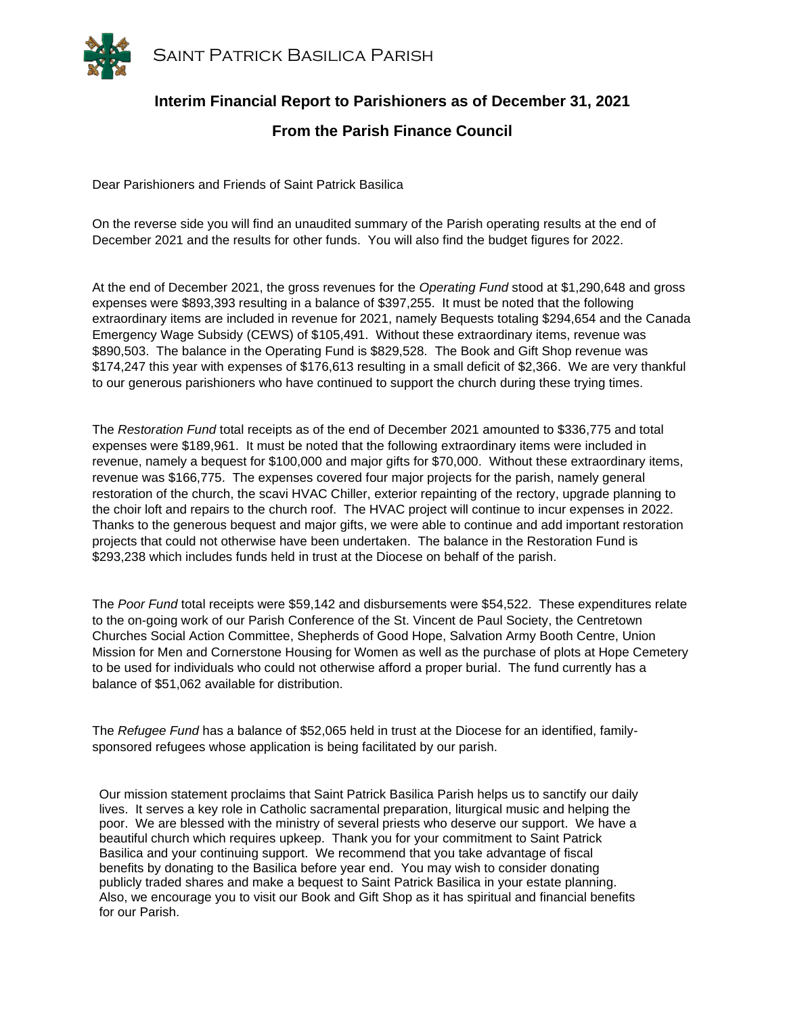

## **Interim Financial Report to Parishioners as of December 31, 2021**

## **From the Parish Finance Council**

Dear Parishioners and Friends of Saint Patrick Basilica

On the reverse side you will find an unaudited summary of the Parish operating results at the end of December 2021 and the results for other funds. You will also find the budget figures for 2022.

At the end of December 2021, the gross revenues for the *Operating Fund* stood at \$1,290,648 and gross expenses were \$893,393 resulting in a balance of \$397,255. It must be noted that the following extraordinary items are included in revenue for 2021, namely Bequests totaling \$294,654 and the Canada Emergency Wage Subsidy (CEWS) of \$105,491. Without these extraordinary items, revenue was \$890,503. The balance in the Operating Fund is \$829,528. The Book and Gift Shop revenue was \$174,247 this year with expenses of \$176,613 resulting in a small deficit of \$2,366. We are very thankful to our generous parishioners who have continued to support the church during these trying times.

The *Restoration Fund* total receipts as of the end of December 2021 amounted to \$336,775 and total expenses were \$189,961. It must be noted that the following extraordinary items were included in revenue, namely a bequest for \$100,000 and major gifts for \$70,000. Without these extraordinary items, revenue was \$166,775. The expenses covered four major projects for the parish, namely general restoration of the church, the scavi HVAC Chiller, exterior repainting of the rectory, upgrade planning to the choir loft and repairs to the church roof. The HVAC project will continue to incur expenses in 2022. Thanks to the generous bequest and major gifts, we were able to continue and add important restoration projects that could not otherwise have been undertaken. The balance in the Restoration Fund is \$293,238 which includes funds held in trust at the Diocese on behalf of the parish.

The *Poor Fund* total receipts were \$59,142 and disbursements were \$54,522. These expenditures relate to the on-going work of our Parish Conference of the St. Vincent de Paul Society, the Centretown Churches Social Action Committee, Shepherds of Good Hope, Salvation Army Booth Centre, Union Mission for Men and Cornerstone Housing for Women as well as the purchase of plots at Hope Cemetery to be used for individuals who could not otherwise afford a proper burial. The fund currently has a balance of \$51,062 available for distribution.

The *Refugee Fund* has a balance of \$52,065 held in trust at the Diocese for an identified, familysponsored refugees whose application is being facilitated by our parish.

Our mission statement proclaims that Saint Patrick Basilica Parish helps us to sanctify our daily lives. It serves a key role in Catholic sacramental preparation, liturgical music and helping the poor. We are blessed with the ministry of several priests who deserve our support. We have a beautiful church which requires upkeep. Thank you for your commitment to Saint Patrick Basilica and your continuing support. We recommend that you take advantage of fiscal benefits by donating to the Basilica before year end. You may wish to consider donating publicly traded shares and make a bequest to Saint Patrick Basilica in your estate planning. Also, we encourage you to visit our Book and Gift Shop as it has spiritual and financial benefits for our Parish.